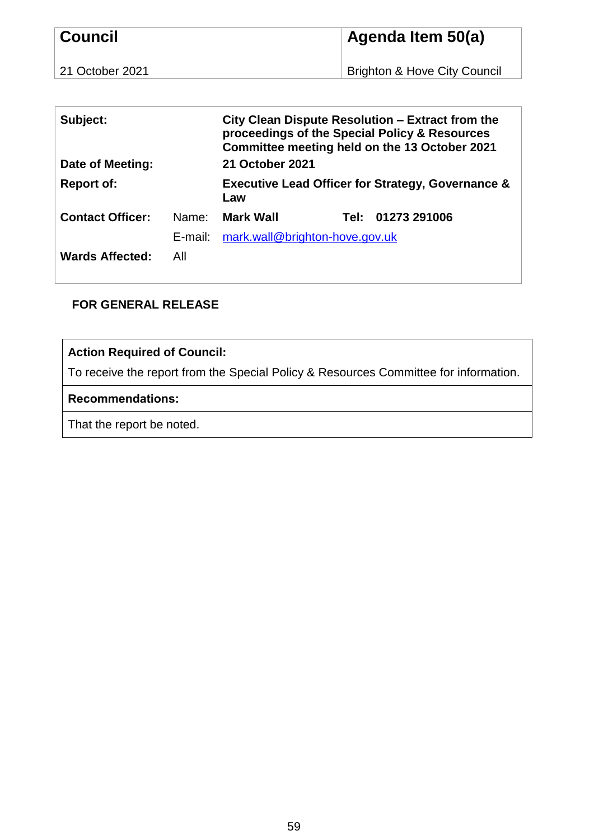| <b>Council</b>  | Agenda Item 50(a)                       |  |  |
|-----------------|-----------------------------------------|--|--|
| 21 October 2021 | <b>Brighton &amp; Hove City Council</b> |  |  |

| Subject:<br>Date of Meeting: |         | City Clean Dispute Resolution – Extract from the<br>proceedings of the Special Policy & Resources<br>Committee meeting held on the 13 October 2021<br>21 October 2021 |  |                   |
|------------------------------|---------|-----------------------------------------------------------------------------------------------------------------------------------------------------------------------|--|-------------------|
| <b>Report of:</b>            |         | <b>Executive Lead Officer for Strategy, Governance &amp;</b><br>Law                                                                                                   |  |                   |
| <b>Contact Officer:</b>      | Name:   | <b>Mark Wall</b>                                                                                                                                                      |  | Tel: 01273 291006 |
|                              | E-mail: | mark.wall@brighton-hove.gov.uk                                                                                                                                        |  |                   |
| <b>Wards Affected:</b>       | All     |                                                                                                                                                                       |  |                   |

## **FOR GENERAL RELEASE**

# **Action Required of Council:**

To receive the report from the Special Policy & Resources Committee for information.

## **Recommendations:**

That the report be noted.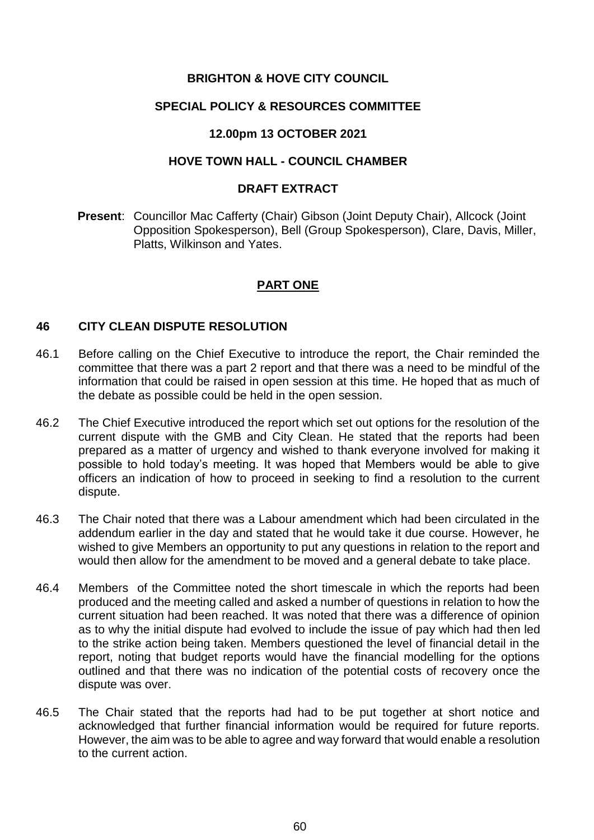## **BRIGHTON & HOVE CITY COUNCIL**

### **SPECIAL POLICY & RESOURCES COMMITTEE**

## **12.00pm 13 OCTOBER 2021**

## **HOVE TOWN HALL - COUNCIL CHAMBER**

#### **DRAFT EXTRACT**

**Present**: Councillor Mac Cafferty (Chair) Gibson (Joint Deputy Chair), Allcock (Joint Opposition Spokesperson), Bell (Group Spokesperson), Clare, Davis, Miller, Platts, Wilkinson and Yates.

## **PART ONE**

#### **46 CITY CLEAN DISPUTE RESOLUTION**

- 46.1 Before calling on the Chief Executive to introduce the report, the Chair reminded the committee that there was a part 2 report and that there was a need to be mindful of the information that could be raised in open session at this time. He hoped that as much of the debate as possible could be held in the open session.
- 46.2 The Chief Executive introduced the report which set out options for the resolution of the current dispute with the GMB and City Clean. He stated that the reports had been prepared as a matter of urgency and wished to thank everyone involved for making it possible to hold today's meeting. It was hoped that Members would be able to give officers an indication of how to proceed in seeking to find a resolution to the current dispute.
- 46.3 The Chair noted that there was a Labour amendment which had been circulated in the addendum earlier in the day and stated that he would take it due course. However, he wished to give Members an opportunity to put any questions in relation to the report and would then allow for the amendment to be moved and a general debate to take place.
- 46.4 Members of the Committee noted the short timescale in which the reports had been produced and the meeting called and asked a number of questions in relation to how the current situation had been reached. It was noted that there was a difference of opinion as to why the initial dispute had evolved to include the issue of pay which had then led to the strike action being taken. Members questioned the level of financial detail in the report, noting that budget reports would have the financial modelling for the options outlined and that there was no indication of the potential costs of recovery once the dispute was over.
- 46.5 The Chair stated that the reports had had to be put together at short notice and acknowledged that further financial information would be required for future reports. However, the aim was to be able to agree and way forward that would enable a resolution to the current action.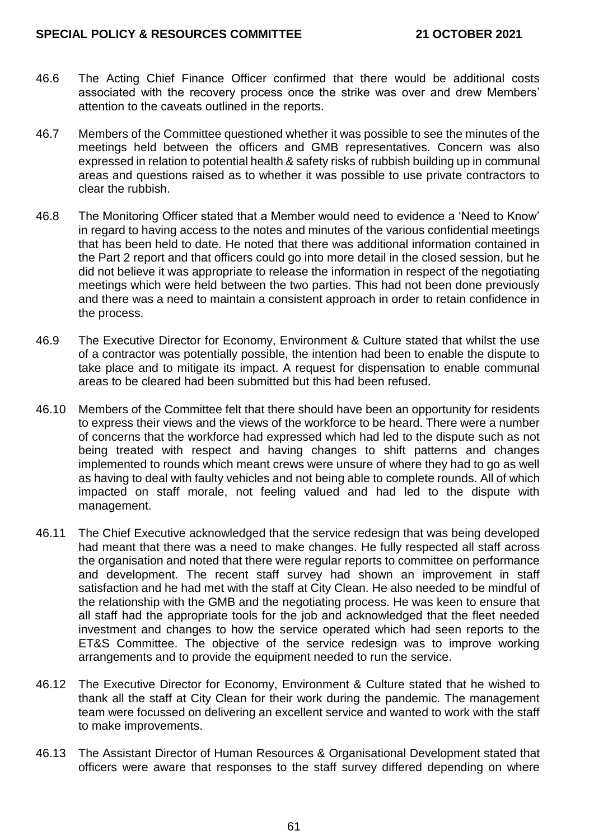#### **SPECIAL POLICY & RESOURCES COMMITTEE 21 OCTOBER 2021**

- 46.6 The Acting Chief Finance Officer confirmed that there would be additional costs associated with the recovery process once the strike was over and drew Members' attention to the caveats outlined in the reports.
- 46.7 Members of the Committee questioned whether it was possible to see the minutes of the meetings held between the officers and GMB representatives. Concern was also expressed in relation to potential health & safety risks of rubbish building up in communal areas and questions raised as to whether it was possible to use private contractors to clear the rubbish.
- 46.8 The Monitoring Officer stated that a Member would need to evidence a 'Need to Know' in regard to having access to the notes and minutes of the various confidential meetings that has been held to date. He noted that there was additional information contained in the Part 2 report and that officers could go into more detail in the closed session, but he did not believe it was appropriate to release the information in respect of the negotiating meetings which were held between the two parties. This had not been done previously and there was a need to maintain a consistent approach in order to retain confidence in the process.
- 46.9 The Executive Director for Economy, Environment & Culture stated that whilst the use of a contractor was potentially possible, the intention had been to enable the dispute to take place and to mitigate its impact. A request for dispensation to enable communal areas to be cleared had been submitted but this had been refused.
- 46.10 Members of the Committee felt that there should have been an opportunity for residents to express their views and the views of the workforce to be heard. There were a number of concerns that the workforce had expressed which had led to the dispute such as not being treated with respect and having changes to shift patterns and changes implemented to rounds which meant crews were unsure of where they had to go as well as having to deal with faulty vehicles and not being able to complete rounds. All of which impacted on staff morale, not feeling valued and had led to the dispute with management.
- 46.11 The Chief Executive acknowledged that the service redesign that was being developed had meant that there was a need to make changes. He fully respected all staff across the organisation and noted that there were regular reports to committee on performance and development. The recent staff survey had shown an improvement in staff satisfaction and he had met with the staff at City Clean. He also needed to be mindful of the relationship with the GMB and the negotiating process. He was keen to ensure that all staff had the appropriate tools for the job and acknowledged that the fleet needed investment and changes to how the service operated which had seen reports to the ET&S Committee. The objective of the service redesign was to improve working arrangements and to provide the equipment needed to run the service.
- 46.12 The Executive Director for Economy, Environment & Culture stated that he wished to thank all the staff at City Clean for their work during the pandemic. The management team were focussed on delivering an excellent service and wanted to work with the staff to make improvements.
- 46.13 The Assistant Director of Human Resources & Organisational Development stated that officers were aware that responses to the staff survey differed depending on where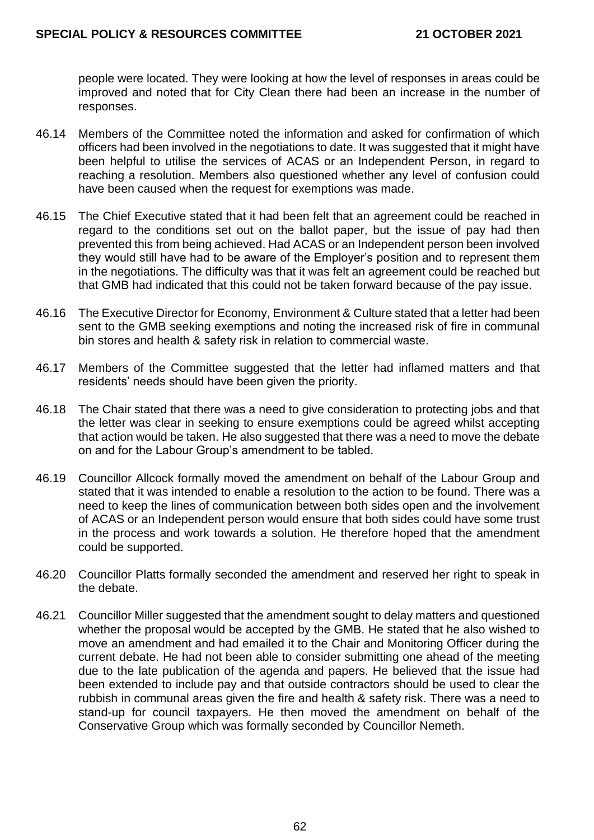people were located. They were looking at how the level of responses in areas could be improved and noted that for City Clean there had been an increase in the number of responses.

- 46.14 Members of the Committee noted the information and asked for confirmation of which officers had been involved in the negotiations to date. It was suggested that it might have been helpful to utilise the services of ACAS or an Independent Person, in regard to reaching a resolution. Members also questioned whether any level of confusion could have been caused when the request for exemptions was made.
- 46.15 The Chief Executive stated that it had been felt that an agreement could be reached in regard to the conditions set out on the ballot paper, but the issue of pay had then prevented this from being achieved. Had ACAS or an Independent person been involved they would still have had to be aware of the Employer's position and to represent them in the negotiations. The difficulty was that it was felt an agreement could be reached but that GMB had indicated that this could not be taken forward because of the pay issue.
- 46.16 The Executive Director for Economy, Environment & Culture stated that a letter had been sent to the GMB seeking exemptions and noting the increased risk of fire in communal bin stores and health & safety risk in relation to commercial waste.
- 46.17 Members of the Committee suggested that the letter had inflamed matters and that residents' needs should have been given the priority.
- 46.18 The Chair stated that there was a need to give consideration to protecting jobs and that the letter was clear in seeking to ensure exemptions could be agreed whilst accepting that action would be taken. He also suggested that there was a need to move the debate on and for the Labour Group's amendment to be tabled.
- 46.19 Councillor Allcock formally moved the amendment on behalf of the Labour Group and stated that it was intended to enable a resolution to the action to be found. There was a need to keep the lines of communication between both sides open and the involvement of ACAS or an Independent person would ensure that both sides could have some trust in the process and work towards a solution. He therefore hoped that the amendment could be supported.
- 46.20 Councillor Platts formally seconded the amendment and reserved her right to speak in the debate.
- 46.21 Councillor Miller suggested that the amendment sought to delay matters and questioned whether the proposal would be accepted by the GMB. He stated that he also wished to move an amendment and had emailed it to the Chair and Monitoring Officer during the current debate. He had not been able to consider submitting one ahead of the meeting due to the late publication of the agenda and papers. He believed that the issue had been extended to include pay and that outside contractors should be used to clear the rubbish in communal areas given the fire and health & safety risk. There was a need to stand-up for council taxpayers. He then moved the amendment on behalf of the Conservative Group which was formally seconded by Councillor Nemeth.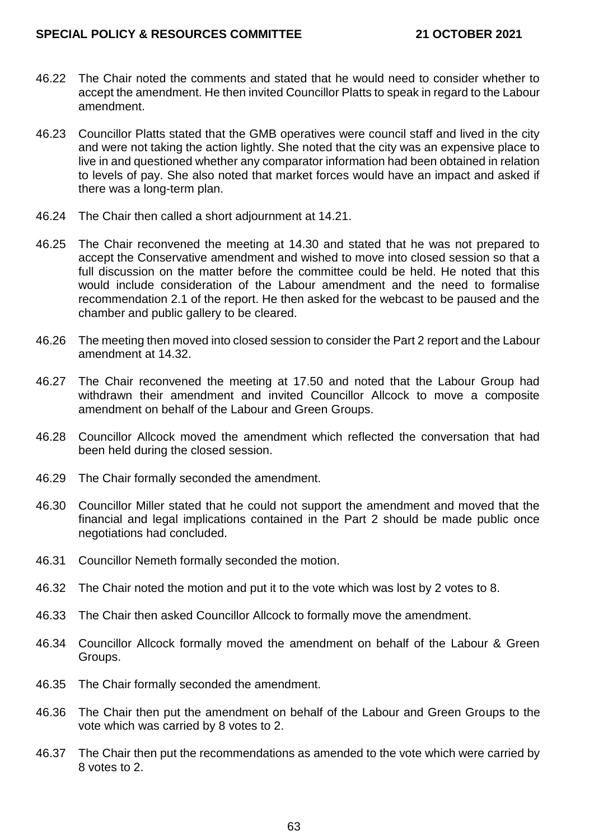#### **SPECIAL POLICY & RESOURCES COMMITTEE 21 OCTOBER 2021**

- 46.22 The Chair noted the comments and stated that he would need to consider whether to accept the amendment. He then invited Councillor Platts to speak in regard to the Labour amendment.
- 46.23 Councillor Platts stated that the GMB operatives were council staff and lived in the city and were not taking the action lightly. She noted that the city was an expensive place to live in and questioned whether any comparator information had been obtained in relation to levels of pay. She also noted that market forces would have an impact and asked if there was a long-term plan.
- 46.24 The Chair then called a short adjournment at 14.21.
- 46.25 The Chair reconvened the meeting at 14.30 and stated that he was not prepared to accept the Conservative amendment and wished to move into closed session so that a full discussion on the matter before the committee could be held. He noted that this would include consideration of the Labour amendment and the need to formalise recommendation 2.1 of the report. He then asked for the webcast to be paused and the chamber and public gallery to be cleared.
- 46.26 The meeting then moved into closed session to consider the Part 2 report and the Labour amendment at 14.32.
- 46.27 The Chair reconvened the meeting at 17.50 and noted that the Labour Group had withdrawn their amendment and invited Councillor Allcock to move a composite amendment on behalf of the Labour and Green Groups.
- 46.28 Councillor Allcock moved the amendment which reflected the conversation that had been held during the closed session.
- 46.29 The Chair formally seconded the amendment.
- 46.30 Councillor Miller stated that he could not support the amendment and moved that the financial and legal implications contained in the Part 2 should be made public once negotiations had concluded.
- 46.31 Councillor Nemeth formally seconded the motion.
- 46.32 The Chair noted the motion and put it to the vote which was lost by 2 votes to 8.
- 46.33 The Chair then asked Councillor Allcock to formally move the amendment.
- 46.34 Councillor Allcock formally moved the amendment on behalf of the Labour & Green Groups.
- 46.35 The Chair formally seconded the amendment.
- 46.36 The Chair then put the amendment on behalf of the Labour and Green Groups to the vote which was carried by 8 votes to 2.
- 46.37 The Chair then put the recommendations as amended to the vote which were carried by 8 votes to 2.